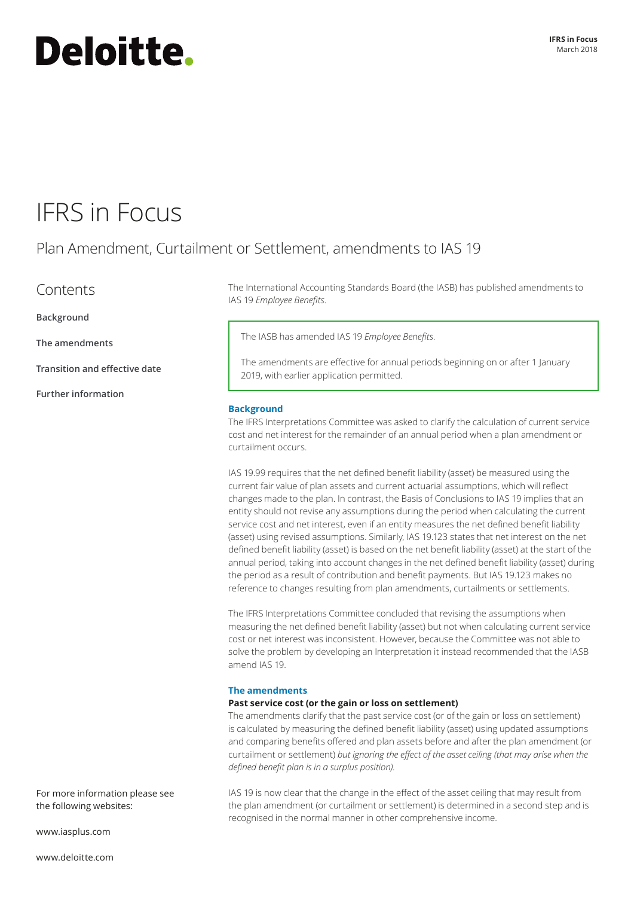# **Deloitte.**

### IFRS in Focus

### Plan Amendment, Curtailment or Settlement, amendments to IAS 19

**Contents** 

**[Background](#page-0-0)**

**[The amendments](#page-0-1)**

**[Transition and effective date](#page-1-0)**

**[Further information](#page-1-1)**

The International Accounting Standards Board (the IASB) has published amendments to IAS 19 *Employee Benefits*.

The IASB has amended IAS 19 *Employee Benefits*.

The amendments are effective for annual periods beginning on or after 1 January 2019, with earlier application permitted.

#### <span id="page-0-0"></span>**Background**

The IFRS Interpretations Committee was asked to clarify the calculation of current service cost and net interest for the remainder of an annual period when a plan amendment or curtailment occurs.

IAS 19.99 requires that the net defined benefit liability (asset) be measured using the current fair value of plan assets and current actuarial assumptions, which will reflect changes made to the plan. In contrast, the Basis of Conclusions to IAS 19 implies that an entity should not revise any assumptions during the period when calculating the current service cost and net interest, even if an entity measures the net defined benefit liability (asset) using revised assumptions. Similarly, IAS 19.123 states that net interest on the net defined benefit liability (asset) is based on the net benefit liability (asset) at the start of the annual period, taking into account changes in the net defined benefit liability (asset) during the period as a result of contribution and benefit payments. But IAS 19.123 makes no reference to changes resulting from plan amendments, curtailments or settlements.

The IFRS Interpretations Committee concluded that revising the assumptions when measuring the net defined benefit liability (asset) but not when calculating current service cost or net interest was inconsistent. However, because the Committee was not able to solve the problem by developing an Interpretation it instead recommended that the IASB amend IAS 19.

#### <span id="page-0-1"></span>**The amendments**

#### **Past service cost (or the gain or loss on settlement)**

The amendments clarify that the past service cost (or of the gain or loss on settlement) is calculated by measuring the defined benefit liability (asset) using updated assumptions and comparing benefits offered and plan assets before and after the plan amendment (or curtailment or settlement) *but ignoring the effect of the asset ceiling (that may arise when the defined benefit plan is in a surplus position)*.

IAS 19 is now clear that the change in the effect of the asset ceiling that may result from the plan amendment (or curtailment or settlement) is determined in a second step and is recognised in the normal manner in other comprehensive income.

[www.iasplus.com](http://www.iasplus.com)

the following websites:

For more information please see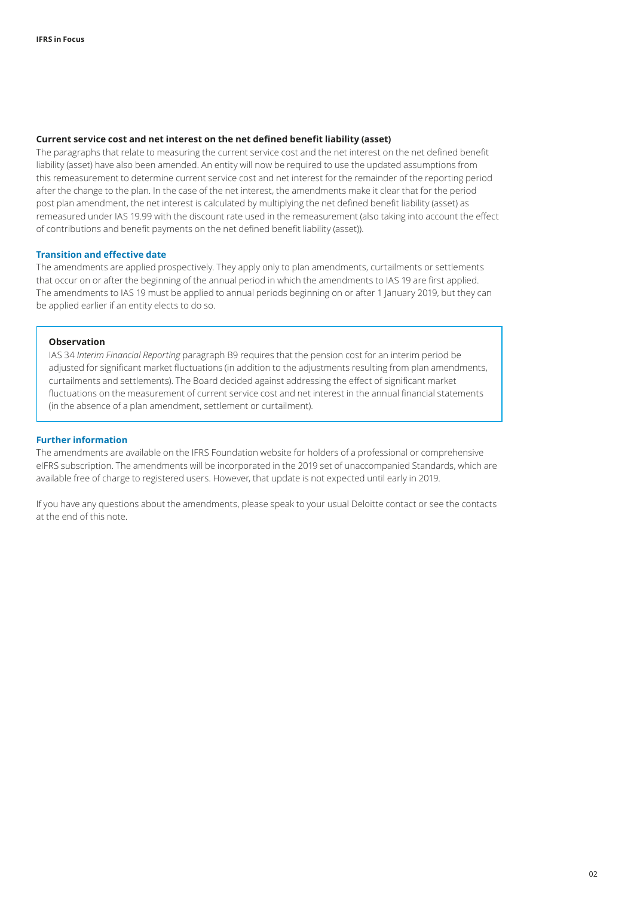#### **Current service cost and net interest on the net defined benefit liability (asset)**

The paragraphs that relate to measuring the current service cost and the net interest on the net defined benefit liability (asset) have also been amended. An entity will now be required to use the updated assumptions from this remeasurement to determine current service cost and net interest for the remainder of the reporting period after the change to the plan. In the case of the net interest, the amendments make it clear that for the period post plan amendment, the net interest is calculated by multiplying the net defined benefit liability (asset) as remeasured under IAS 19.99 with the discount rate used in the remeasurement (also taking into account the effect of contributions and benefit payments on the net defined benefit liability (asset)).

#### <span id="page-1-0"></span>**Transition and effective date**

The amendments are applied prospectively. They apply only to plan amendments, curtailments or settlements that occur on or after the beginning of the annual period in which the amendments to IAS 19 are first applied. The amendments to IAS 19 must be applied to annual periods beginning on or after 1 January 2019, but they can be applied earlier if an entity elects to do so.

#### **Observation**

IAS 34 *Interim Financial Reporting* paragraph B9 requires that the pension cost for an interim period be adjusted for significant market fluctuations (in addition to the adjustments resulting from plan amendments, curtailments and settlements). The Board decided against addressing the effect of significant market fluctuations on the measurement of current service cost and net interest in the annual financial statements (in the absence of a plan amendment, settlement or curtailment).

#### <span id="page-1-1"></span>**Further information**

The amendments are available on the IFRS Foundation website for holders of a professional or comprehensive eIFRS subscription. The amendments will be incorporated in the 2019 set of unaccompanied Standards, which are available free of charge to registered users. However, that update is not expected until early in 2019.

If you have any questions about the amendments, please speak to your usual Deloitte contact or see the contacts at the end of this note.